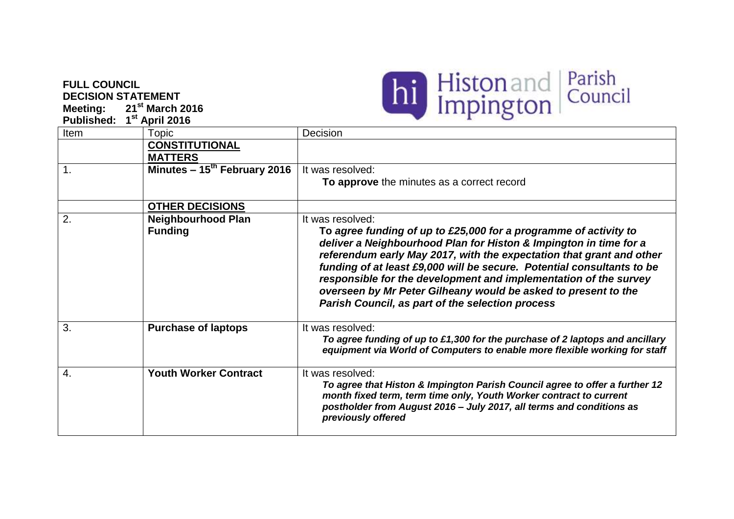## **FULL COUNCIL DECISION STATEMENT Meeting: 21st March 2016**



| <b>Published:</b> |                                             |                                                                                                                                                                                                                                                                                                                                                                                                                                                                                                       |
|-------------------|---------------------------------------------|-------------------------------------------------------------------------------------------------------------------------------------------------------------------------------------------------------------------------------------------------------------------------------------------------------------------------------------------------------------------------------------------------------------------------------------------------------------------------------------------------------|
| Item              | 1 <sup>st</sup> April 2016<br>Topic         | Decision                                                                                                                                                                                                                                                                                                                                                                                                                                                                                              |
|                   | <b>CONSTITUTIONAL</b><br><b>MATTERS</b>     |                                                                                                                                                                                                                                                                                                                                                                                                                                                                                                       |
| $\mathbf{1}$ .    | Minutes $-15^{th}$ February 2016            | It was resolved:<br>To approve the minutes as a correct record                                                                                                                                                                                                                                                                                                                                                                                                                                        |
|                   | <b>OTHER DECISIONS</b>                      |                                                                                                                                                                                                                                                                                                                                                                                                                                                                                                       |
| 2.                | <b>Neighbourhood Plan</b><br><b>Funding</b> | It was resolved:<br>To agree funding of up to £25,000 for a programme of activity to<br>deliver a Neighbourhood Plan for Histon & Impington in time for a<br>referendum early May 2017, with the expectation that grant and other<br>funding of at least £9,000 will be secure. Potential consultants to be<br>responsible for the development and implementation of the survey<br>overseen by Mr Peter Gilheany would be asked to present to the<br>Parish Council, as part of the selection process |
| 3.                | <b>Purchase of laptops</b>                  | It was resolved:<br>To agree funding of up to £1,300 for the purchase of 2 laptops and ancillary<br>equipment via World of Computers to enable more flexible working for staff                                                                                                                                                                                                                                                                                                                        |
| 4.                | <b>Youth Worker Contract</b>                | It was resolved:<br>To agree that Histon & Impington Parish Council agree to offer a further 12<br>month fixed term, term time only, Youth Worker contract to current<br>postholder from August 2016 - July 2017, all terms and conditions as<br>previously offered                                                                                                                                                                                                                                   |